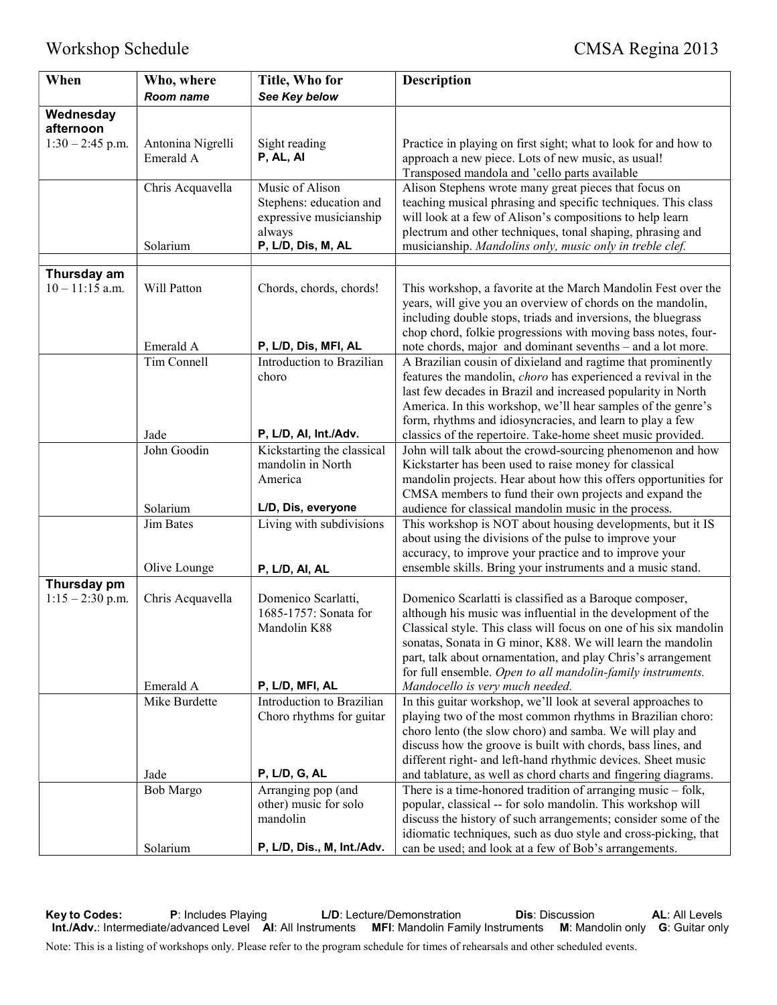| See Key below<br>Room name<br>Wednesday<br>afternoon<br>$1:30 - 2:45$ p.m.<br>Antonina Nigrelli<br>Sight reading<br>Practice in playing on first sight; what to look for and how to<br>Emerald A<br>P, AL, AI<br>approach a new piece. Lots of new music, as usual!<br>Transposed mandola and 'cello parts available<br>Chris Acquavella<br>Music of Alison<br>Alison Stephens wrote many great pieces that focus on<br>Stephens: education and<br>teaching musical phrasing and specific techniques. This class<br>expressive musicianship<br>will look at a few of Alison's compositions to help learn<br>plectrum and other techniques, tonal shaping, phrasing and<br>always<br>P, L/D, Dis, M, AL<br>Solarium<br>musicianship. Mandolins only, music only in treble clef.<br>Thursday am<br>Will Patton<br>$10 - 11:15$ a.m.<br>Chords, chords, chords!<br>This workshop, a favorite at the March Mandolin Fest over the<br>years, will give you an overview of chords on the mandolin,<br>including double stops, triads and inversions, the bluegrass<br>chop chord, folkie progressions with moving bass notes, four-<br>P, L/D, Dis, MFI, AL<br>Emerald A<br>note chords, major and dominant sevenths - and a lot more.<br>Introduction to Brazilian<br>Tim Connell<br>A Brazilian cousin of dixieland and ragtime that prominently<br>choro<br>features the mandolin, choro has experienced a revival in the<br>last few decades in Brazil and increased popularity in North<br>America. In this workshop, we'll hear samples of the genre's<br>form, rhythms and idiosyncracies, and learn to play a few<br>P, L/D, Al, Int./Adv.<br>Jade<br>classics of the repertoire. Take-home sheet music provided.<br>John Goodin<br>Kickstarting the classical<br>John will talk about the crowd-sourcing phenomenon and how<br>mandolin in North<br>Kickstarter has been used to raise money for classical<br>America<br>mandolin projects. Hear about how this offers opportunities for<br>CMSA members to fund their own projects and expand the<br>L/D, Dis, everyone<br>Solarium<br>audience for classical mandolin music in the process.<br>Living with subdivisions<br>This workshop is NOT about housing developments, but it IS<br>Jim Bates<br>about using the divisions of the pulse to improve your<br>accuracy, to improve your practice and to improve your<br>ensemble skills. Bring your instruments and a music stand.<br>Olive Lounge<br>P, L/D, AI, AL<br>Thursday pm<br>$1:15 - 2:30$ p.m.<br>Domenico Scarlatti,<br>Domenico Scarlatti is classified as a Baroque composer,<br>Chris Acquavella<br>although his music was influential in the development of the<br>1685-1757: Sonata for<br>Classical style. This class will focus on one of his six mandolin<br>Mandolin K88<br>sonatas, Sonata in G minor, K88. We will learn the mandolin<br>part, talk about ornamentation, and play Chris's arrangement<br>for full ensemble. Open to all mandolin-family instruments.<br>Emerald A<br>P, L/D, MFI, AL<br>Mandocello is very much needed.<br>Introduction to Brazilian<br>Mike Burdette<br>In this guitar workshop, we'll look at several approaches to<br>Choro rhythms for guitar<br>playing two of the most common rhythms in Brazilian choro:<br>choro lento (the slow choro) and samba. We will play and<br>discuss how the groove is built with chords, bass lines, and<br>different right- and left-hand rhythmic devices. Sheet music<br>P, L/D, G, AL<br>and tablature, as well as chord charts and fingering diagrams.<br>Jade<br>There is a time-honored tradition of arranging music - folk,<br>Bob Margo<br>Arranging pop (and<br>popular, classical -- for solo mandolin. This workshop will<br>other) music for solo<br>discuss the history of such arrangements; consider some of the<br>mandolin<br>idiomatic techniques, such as duo style and cross-picking, that | When | Who, where | Title, Who for             | <b>Description</b>                                    |
|------------------------------------------------------------------------------------------------------------------------------------------------------------------------------------------------------------------------------------------------------------------------------------------------------------------------------------------------------------------------------------------------------------------------------------------------------------------------------------------------------------------------------------------------------------------------------------------------------------------------------------------------------------------------------------------------------------------------------------------------------------------------------------------------------------------------------------------------------------------------------------------------------------------------------------------------------------------------------------------------------------------------------------------------------------------------------------------------------------------------------------------------------------------------------------------------------------------------------------------------------------------------------------------------------------------------------------------------------------------------------------------------------------------------------------------------------------------------------------------------------------------------------------------------------------------------------------------------------------------------------------------------------------------------------------------------------------------------------------------------------------------------------------------------------------------------------------------------------------------------------------------------------------------------------------------------------------------------------------------------------------------------------------------------------------------------------------------------------------------------------------------------------------------------------------------------------------------------------------------------------------------------------------------------------------------------------------------------------------------------------------------------------------------------------------------------------------------------------------------------------------------------------------------------------------------------------------------------------------------------------------------------------------------------------------------------------------------------------------------------------------------------------------------------------------------------------------------------------------------------------------------------------------------------------------------------------------------------------------------------------------------------------------------------------------------------------------------------------------------------------------------------------------------------------------------------------------------------------------------------------------------------------------------------------------------------------------------------------------------------------------------------------------------------------------------------------------------------------------------------------------------------------------------------------------------------------------------------------------------------------------------------------------------------------------------------------------------------------------------------------------------------------------------------------------------------------------------------------------------------------------------------------------------|------|------------|----------------------------|-------------------------------------------------------|
|                                                                                                                                                                                                                                                                                                                                                                                                                                                                                                                                                                                                                                                                                                                                                                                                                                                                                                                                                                                                                                                                                                                                                                                                                                                                                                                                                                                                                                                                                                                                                                                                                                                                                                                                                                                                                                                                                                                                                                                                                                                                                                                                                                                                                                                                                                                                                                                                                                                                                                                                                                                                                                                                                                                                                                                                                                                                                                                                                                                                                                                                                                                                                                                                                                                                                                                                                                                                                                                                                                                                                                                                                                                                                                                                                                                                                                                                                                                  |      |            |                            |                                                       |
|                                                                                                                                                                                                                                                                                                                                                                                                                                                                                                                                                                                                                                                                                                                                                                                                                                                                                                                                                                                                                                                                                                                                                                                                                                                                                                                                                                                                                                                                                                                                                                                                                                                                                                                                                                                                                                                                                                                                                                                                                                                                                                                                                                                                                                                                                                                                                                                                                                                                                                                                                                                                                                                                                                                                                                                                                                                                                                                                                                                                                                                                                                                                                                                                                                                                                                                                                                                                                                                                                                                                                                                                                                                                                                                                                                                                                                                                                                                  |      |            |                            |                                                       |
|                                                                                                                                                                                                                                                                                                                                                                                                                                                                                                                                                                                                                                                                                                                                                                                                                                                                                                                                                                                                                                                                                                                                                                                                                                                                                                                                                                                                                                                                                                                                                                                                                                                                                                                                                                                                                                                                                                                                                                                                                                                                                                                                                                                                                                                                                                                                                                                                                                                                                                                                                                                                                                                                                                                                                                                                                                                                                                                                                                                                                                                                                                                                                                                                                                                                                                                                                                                                                                                                                                                                                                                                                                                                                                                                                                                                                                                                                                                  |      |            |                            |                                                       |
|                                                                                                                                                                                                                                                                                                                                                                                                                                                                                                                                                                                                                                                                                                                                                                                                                                                                                                                                                                                                                                                                                                                                                                                                                                                                                                                                                                                                                                                                                                                                                                                                                                                                                                                                                                                                                                                                                                                                                                                                                                                                                                                                                                                                                                                                                                                                                                                                                                                                                                                                                                                                                                                                                                                                                                                                                                                                                                                                                                                                                                                                                                                                                                                                                                                                                                                                                                                                                                                                                                                                                                                                                                                                                                                                                                                                                                                                                                                  |      |            |                            |                                                       |
|                                                                                                                                                                                                                                                                                                                                                                                                                                                                                                                                                                                                                                                                                                                                                                                                                                                                                                                                                                                                                                                                                                                                                                                                                                                                                                                                                                                                                                                                                                                                                                                                                                                                                                                                                                                                                                                                                                                                                                                                                                                                                                                                                                                                                                                                                                                                                                                                                                                                                                                                                                                                                                                                                                                                                                                                                                                                                                                                                                                                                                                                                                                                                                                                                                                                                                                                                                                                                                                                                                                                                                                                                                                                                                                                                                                                                                                                                                                  |      |            |                            |                                                       |
|                                                                                                                                                                                                                                                                                                                                                                                                                                                                                                                                                                                                                                                                                                                                                                                                                                                                                                                                                                                                                                                                                                                                                                                                                                                                                                                                                                                                                                                                                                                                                                                                                                                                                                                                                                                                                                                                                                                                                                                                                                                                                                                                                                                                                                                                                                                                                                                                                                                                                                                                                                                                                                                                                                                                                                                                                                                                                                                                                                                                                                                                                                                                                                                                                                                                                                                                                                                                                                                                                                                                                                                                                                                                                                                                                                                                                                                                                                                  |      |            |                            |                                                       |
|                                                                                                                                                                                                                                                                                                                                                                                                                                                                                                                                                                                                                                                                                                                                                                                                                                                                                                                                                                                                                                                                                                                                                                                                                                                                                                                                                                                                                                                                                                                                                                                                                                                                                                                                                                                                                                                                                                                                                                                                                                                                                                                                                                                                                                                                                                                                                                                                                                                                                                                                                                                                                                                                                                                                                                                                                                                                                                                                                                                                                                                                                                                                                                                                                                                                                                                                                                                                                                                                                                                                                                                                                                                                                                                                                                                                                                                                                                                  |      |            |                            |                                                       |
|                                                                                                                                                                                                                                                                                                                                                                                                                                                                                                                                                                                                                                                                                                                                                                                                                                                                                                                                                                                                                                                                                                                                                                                                                                                                                                                                                                                                                                                                                                                                                                                                                                                                                                                                                                                                                                                                                                                                                                                                                                                                                                                                                                                                                                                                                                                                                                                                                                                                                                                                                                                                                                                                                                                                                                                                                                                                                                                                                                                                                                                                                                                                                                                                                                                                                                                                                                                                                                                                                                                                                                                                                                                                                                                                                                                                                                                                                                                  |      |            |                            |                                                       |
|                                                                                                                                                                                                                                                                                                                                                                                                                                                                                                                                                                                                                                                                                                                                                                                                                                                                                                                                                                                                                                                                                                                                                                                                                                                                                                                                                                                                                                                                                                                                                                                                                                                                                                                                                                                                                                                                                                                                                                                                                                                                                                                                                                                                                                                                                                                                                                                                                                                                                                                                                                                                                                                                                                                                                                                                                                                                                                                                                                                                                                                                                                                                                                                                                                                                                                                                                                                                                                                                                                                                                                                                                                                                                                                                                                                                                                                                                                                  |      |            |                            |                                                       |
|                                                                                                                                                                                                                                                                                                                                                                                                                                                                                                                                                                                                                                                                                                                                                                                                                                                                                                                                                                                                                                                                                                                                                                                                                                                                                                                                                                                                                                                                                                                                                                                                                                                                                                                                                                                                                                                                                                                                                                                                                                                                                                                                                                                                                                                                                                                                                                                                                                                                                                                                                                                                                                                                                                                                                                                                                                                                                                                                                                                                                                                                                                                                                                                                                                                                                                                                                                                                                                                                                                                                                                                                                                                                                                                                                                                                                                                                                                                  |      |            |                            |                                                       |
|                                                                                                                                                                                                                                                                                                                                                                                                                                                                                                                                                                                                                                                                                                                                                                                                                                                                                                                                                                                                                                                                                                                                                                                                                                                                                                                                                                                                                                                                                                                                                                                                                                                                                                                                                                                                                                                                                                                                                                                                                                                                                                                                                                                                                                                                                                                                                                                                                                                                                                                                                                                                                                                                                                                                                                                                                                                                                                                                                                                                                                                                                                                                                                                                                                                                                                                                                                                                                                                                                                                                                                                                                                                                                                                                                                                                                                                                                                                  |      |            |                            |                                                       |
|                                                                                                                                                                                                                                                                                                                                                                                                                                                                                                                                                                                                                                                                                                                                                                                                                                                                                                                                                                                                                                                                                                                                                                                                                                                                                                                                                                                                                                                                                                                                                                                                                                                                                                                                                                                                                                                                                                                                                                                                                                                                                                                                                                                                                                                                                                                                                                                                                                                                                                                                                                                                                                                                                                                                                                                                                                                                                                                                                                                                                                                                                                                                                                                                                                                                                                                                                                                                                                                                                                                                                                                                                                                                                                                                                                                                                                                                                                                  |      |            |                            |                                                       |
|                                                                                                                                                                                                                                                                                                                                                                                                                                                                                                                                                                                                                                                                                                                                                                                                                                                                                                                                                                                                                                                                                                                                                                                                                                                                                                                                                                                                                                                                                                                                                                                                                                                                                                                                                                                                                                                                                                                                                                                                                                                                                                                                                                                                                                                                                                                                                                                                                                                                                                                                                                                                                                                                                                                                                                                                                                                                                                                                                                                                                                                                                                                                                                                                                                                                                                                                                                                                                                                                                                                                                                                                                                                                                                                                                                                                                                                                                                                  |      |            |                            |                                                       |
|                                                                                                                                                                                                                                                                                                                                                                                                                                                                                                                                                                                                                                                                                                                                                                                                                                                                                                                                                                                                                                                                                                                                                                                                                                                                                                                                                                                                                                                                                                                                                                                                                                                                                                                                                                                                                                                                                                                                                                                                                                                                                                                                                                                                                                                                                                                                                                                                                                                                                                                                                                                                                                                                                                                                                                                                                                                                                                                                                                                                                                                                                                                                                                                                                                                                                                                                                                                                                                                                                                                                                                                                                                                                                                                                                                                                                                                                                                                  |      |            |                            |                                                       |
|                                                                                                                                                                                                                                                                                                                                                                                                                                                                                                                                                                                                                                                                                                                                                                                                                                                                                                                                                                                                                                                                                                                                                                                                                                                                                                                                                                                                                                                                                                                                                                                                                                                                                                                                                                                                                                                                                                                                                                                                                                                                                                                                                                                                                                                                                                                                                                                                                                                                                                                                                                                                                                                                                                                                                                                                                                                                                                                                                                                                                                                                                                                                                                                                                                                                                                                                                                                                                                                                                                                                                                                                                                                                                                                                                                                                                                                                                                                  |      |            |                            |                                                       |
|                                                                                                                                                                                                                                                                                                                                                                                                                                                                                                                                                                                                                                                                                                                                                                                                                                                                                                                                                                                                                                                                                                                                                                                                                                                                                                                                                                                                                                                                                                                                                                                                                                                                                                                                                                                                                                                                                                                                                                                                                                                                                                                                                                                                                                                                                                                                                                                                                                                                                                                                                                                                                                                                                                                                                                                                                                                                                                                                                                                                                                                                                                                                                                                                                                                                                                                                                                                                                                                                                                                                                                                                                                                                                                                                                                                                                                                                                                                  |      |            |                            |                                                       |
|                                                                                                                                                                                                                                                                                                                                                                                                                                                                                                                                                                                                                                                                                                                                                                                                                                                                                                                                                                                                                                                                                                                                                                                                                                                                                                                                                                                                                                                                                                                                                                                                                                                                                                                                                                                                                                                                                                                                                                                                                                                                                                                                                                                                                                                                                                                                                                                                                                                                                                                                                                                                                                                                                                                                                                                                                                                                                                                                                                                                                                                                                                                                                                                                                                                                                                                                                                                                                                                                                                                                                                                                                                                                                                                                                                                                                                                                                                                  |      |            |                            |                                                       |
|                                                                                                                                                                                                                                                                                                                                                                                                                                                                                                                                                                                                                                                                                                                                                                                                                                                                                                                                                                                                                                                                                                                                                                                                                                                                                                                                                                                                                                                                                                                                                                                                                                                                                                                                                                                                                                                                                                                                                                                                                                                                                                                                                                                                                                                                                                                                                                                                                                                                                                                                                                                                                                                                                                                                                                                                                                                                                                                                                                                                                                                                                                                                                                                                                                                                                                                                                                                                                                                                                                                                                                                                                                                                                                                                                                                                                                                                                                                  |      |            |                            |                                                       |
|                                                                                                                                                                                                                                                                                                                                                                                                                                                                                                                                                                                                                                                                                                                                                                                                                                                                                                                                                                                                                                                                                                                                                                                                                                                                                                                                                                                                                                                                                                                                                                                                                                                                                                                                                                                                                                                                                                                                                                                                                                                                                                                                                                                                                                                                                                                                                                                                                                                                                                                                                                                                                                                                                                                                                                                                                                                                                                                                                                                                                                                                                                                                                                                                                                                                                                                                                                                                                                                                                                                                                                                                                                                                                                                                                                                                                                                                                                                  |      |            |                            |                                                       |
|                                                                                                                                                                                                                                                                                                                                                                                                                                                                                                                                                                                                                                                                                                                                                                                                                                                                                                                                                                                                                                                                                                                                                                                                                                                                                                                                                                                                                                                                                                                                                                                                                                                                                                                                                                                                                                                                                                                                                                                                                                                                                                                                                                                                                                                                                                                                                                                                                                                                                                                                                                                                                                                                                                                                                                                                                                                                                                                                                                                                                                                                                                                                                                                                                                                                                                                                                                                                                                                                                                                                                                                                                                                                                                                                                                                                                                                                                                                  |      |            |                            |                                                       |
|                                                                                                                                                                                                                                                                                                                                                                                                                                                                                                                                                                                                                                                                                                                                                                                                                                                                                                                                                                                                                                                                                                                                                                                                                                                                                                                                                                                                                                                                                                                                                                                                                                                                                                                                                                                                                                                                                                                                                                                                                                                                                                                                                                                                                                                                                                                                                                                                                                                                                                                                                                                                                                                                                                                                                                                                                                                                                                                                                                                                                                                                                                                                                                                                                                                                                                                                                                                                                                                                                                                                                                                                                                                                                                                                                                                                                                                                                                                  |      |            |                            |                                                       |
|                                                                                                                                                                                                                                                                                                                                                                                                                                                                                                                                                                                                                                                                                                                                                                                                                                                                                                                                                                                                                                                                                                                                                                                                                                                                                                                                                                                                                                                                                                                                                                                                                                                                                                                                                                                                                                                                                                                                                                                                                                                                                                                                                                                                                                                                                                                                                                                                                                                                                                                                                                                                                                                                                                                                                                                                                                                                                                                                                                                                                                                                                                                                                                                                                                                                                                                                                                                                                                                                                                                                                                                                                                                                                                                                                                                                                                                                                                                  |      |            |                            |                                                       |
|                                                                                                                                                                                                                                                                                                                                                                                                                                                                                                                                                                                                                                                                                                                                                                                                                                                                                                                                                                                                                                                                                                                                                                                                                                                                                                                                                                                                                                                                                                                                                                                                                                                                                                                                                                                                                                                                                                                                                                                                                                                                                                                                                                                                                                                                                                                                                                                                                                                                                                                                                                                                                                                                                                                                                                                                                                                                                                                                                                                                                                                                                                                                                                                                                                                                                                                                                                                                                                                                                                                                                                                                                                                                                                                                                                                                                                                                                                                  |      |            |                            |                                                       |
|                                                                                                                                                                                                                                                                                                                                                                                                                                                                                                                                                                                                                                                                                                                                                                                                                                                                                                                                                                                                                                                                                                                                                                                                                                                                                                                                                                                                                                                                                                                                                                                                                                                                                                                                                                                                                                                                                                                                                                                                                                                                                                                                                                                                                                                                                                                                                                                                                                                                                                                                                                                                                                                                                                                                                                                                                                                                                                                                                                                                                                                                                                                                                                                                                                                                                                                                                                                                                                                                                                                                                                                                                                                                                                                                                                                                                                                                                                                  |      |            |                            |                                                       |
|                                                                                                                                                                                                                                                                                                                                                                                                                                                                                                                                                                                                                                                                                                                                                                                                                                                                                                                                                                                                                                                                                                                                                                                                                                                                                                                                                                                                                                                                                                                                                                                                                                                                                                                                                                                                                                                                                                                                                                                                                                                                                                                                                                                                                                                                                                                                                                                                                                                                                                                                                                                                                                                                                                                                                                                                                                                                                                                                                                                                                                                                                                                                                                                                                                                                                                                                                                                                                                                                                                                                                                                                                                                                                                                                                                                                                                                                                                                  |      |            |                            |                                                       |
|                                                                                                                                                                                                                                                                                                                                                                                                                                                                                                                                                                                                                                                                                                                                                                                                                                                                                                                                                                                                                                                                                                                                                                                                                                                                                                                                                                                                                                                                                                                                                                                                                                                                                                                                                                                                                                                                                                                                                                                                                                                                                                                                                                                                                                                                                                                                                                                                                                                                                                                                                                                                                                                                                                                                                                                                                                                                                                                                                                                                                                                                                                                                                                                                                                                                                                                                                                                                                                                                                                                                                                                                                                                                                                                                                                                                                                                                                                                  |      |            |                            |                                                       |
|                                                                                                                                                                                                                                                                                                                                                                                                                                                                                                                                                                                                                                                                                                                                                                                                                                                                                                                                                                                                                                                                                                                                                                                                                                                                                                                                                                                                                                                                                                                                                                                                                                                                                                                                                                                                                                                                                                                                                                                                                                                                                                                                                                                                                                                                                                                                                                                                                                                                                                                                                                                                                                                                                                                                                                                                                                                                                                                                                                                                                                                                                                                                                                                                                                                                                                                                                                                                                                                                                                                                                                                                                                                                                                                                                                                                                                                                                                                  |      |            |                            |                                                       |
|                                                                                                                                                                                                                                                                                                                                                                                                                                                                                                                                                                                                                                                                                                                                                                                                                                                                                                                                                                                                                                                                                                                                                                                                                                                                                                                                                                                                                                                                                                                                                                                                                                                                                                                                                                                                                                                                                                                                                                                                                                                                                                                                                                                                                                                                                                                                                                                                                                                                                                                                                                                                                                                                                                                                                                                                                                                                                                                                                                                                                                                                                                                                                                                                                                                                                                                                                                                                                                                                                                                                                                                                                                                                                                                                                                                                                                                                                                                  |      |            |                            |                                                       |
|                                                                                                                                                                                                                                                                                                                                                                                                                                                                                                                                                                                                                                                                                                                                                                                                                                                                                                                                                                                                                                                                                                                                                                                                                                                                                                                                                                                                                                                                                                                                                                                                                                                                                                                                                                                                                                                                                                                                                                                                                                                                                                                                                                                                                                                                                                                                                                                                                                                                                                                                                                                                                                                                                                                                                                                                                                                                                                                                                                                                                                                                                                                                                                                                                                                                                                                                                                                                                                                                                                                                                                                                                                                                                                                                                                                                                                                                                                                  |      |            |                            |                                                       |
|                                                                                                                                                                                                                                                                                                                                                                                                                                                                                                                                                                                                                                                                                                                                                                                                                                                                                                                                                                                                                                                                                                                                                                                                                                                                                                                                                                                                                                                                                                                                                                                                                                                                                                                                                                                                                                                                                                                                                                                                                                                                                                                                                                                                                                                                                                                                                                                                                                                                                                                                                                                                                                                                                                                                                                                                                                                                                                                                                                                                                                                                                                                                                                                                                                                                                                                                                                                                                                                                                                                                                                                                                                                                                                                                                                                                                                                                                                                  |      |            |                            |                                                       |
|                                                                                                                                                                                                                                                                                                                                                                                                                                                                                                                                                                                                                                                                                                                                                                                                                                                                                                                                                                                                                                                                                                                                                                                                                                                                                                                                                                                                                                                                                                                                                                                                                                                                                                                                                                                                                                                                                                                                                                                                                                                                                                                                                                                                                                                                                                                                                                                                                                                                                                                                                                                                                                                                                                                                                                                                                                                                                                                                                                                                                                                                                                                                                                                                                                                                                                                                                                                                                                                                                                                                                                                                                                                                                                                                                                                                                                                                                                                  |      |            |                            |                                                       |
|                                                                                                                                                                                                                                                                                                                                                                                                                                                                                                                                                                                                                                                                                                                                                                                                                                                                                                                                                                                                                                                                                                                                                                                                                                                                                                                                                                                                                                                                                                                                                                                                                                                                                                                                                                                                                                                                                                                                                                                                                                                                                                                                                                                                                                                                                                                                                                                                                                                                                                                                                                                                                                                                                                                                                                                                                                                                                                                                                                                                                                                                                                                                                                                                                                                                                                                                                                                                                                                                                                                                                                                                                                                                                                                                                                                                                                                                                                                  |      |            |                            |                                                       |
|                                                                                                                                                                                                                                                                                                                                                                                                                                                                                                                                                                                                                                                                                                                                                                                                                                                                                                                                                                                                                                                                                                                                                                                                                                                                                                                                                                                                                                                                                                                                                                                                                                                                                                                                                                                                                                                                                                                                                                                                                                                                                                                                                                                                                                                                                                                                                                                                                                                                                                                                                                                                                                                                                                                                                                                                                                                                                                                                                                                                                                                                                                                                                                                                                                                                                                                                                                                                                                                                                                                                                                                                                                                                                                                                                                                                                                                                                                                  |      |            |                            |                                                       |
|                                                                                                                                                                                                                                                                                                                                                                                                                                                                                                                                                                                                                                                                                                                                                                                                                                                                                                                                                                                                                                                                                                                                                                                                                                                                                                                                                                                                                                                                                                                                                                                                                                                                                                                                                                                                                                                                                                                                                                                                                                                                                                                                                                                                                                                                                                                                                                                                                                                                                                                                                                                                                                                                                                                                                                                                                                                                                                                                                                                                                                                                                                                                                                                                                                                                                                                                                                                                                                                                                                                                                                                                                                                                                                                                                                                                                                                                                                                  |      |            |                            |                                                       |
|                                                                                                                                                                                                                                                                                                                                                                                                                                                                                                                                                                                                                                                                                                                                                                                                                                                                                                                                                                                                                                                                                                                                                                                                                                                                                                                                                                                                                                                                                                                                                                                                                                                                                                                                                                                                                                                                                                                                                                                                                                                                                                                                                                                                                                                                                                                                                                                                                                                                                                                                                                                                                                                                                                                                                                                                                                                                                                                                                                                                                                                                                                                                                                                                                                                                                                                                                                                                                                                                                                                                                                                                                                                                                                                                                                                                                                                                                                                  |      |            |                            |                                                       |
|                                                                                                                                                                                                                                                                                                                                                                                                                                                                                                                                                                                                                                                                                                                                                                                                                                                                                                                                                                                                                                                                                                                                                                                                                                                                                                                                                                                                                                                                                                                                                                                                                                                                                                                                                                                                                                                                                                                                                                                                                                                                                                                                                                                                                                                                                                                                                                                                                                                                                                                                                                                                                                                                                                                                                                                                                                                                                                                                                                                                                                                                                                                                                                                                                                                                                                                                                                                                                                                                                                                                                                                                                                                                                                                                                                                                                                                                                                                  |      |            |                            |                                                       |
|                                                                                                                                                                                                                                                                                                                                                                                                                                                                                                                                                                                                                                                                                                                                                                                                                                                                                                                                                                                                                                                                                                                                                                                                                                                                                                                                                                                                                                                                                                                                                                                                                                                                                                                                                                                                                                                                                                                                                                                                                                                                                                                                                                                                                                                                                                                                                                                                                                                                                                                                                                                                                                                                                                                                                                                                                                                                                                                                                                                                                                                                                                                                                                                                                                                                                                                                                                                                                                                                                                                                                                                                                                                                                                                                                                                                                                                                                                                  |      |            |                            |                                                       |
|                                                                                                                                                                                                                                                                                                                                                                                                                                                                                                                                                                                                                                                                                                                                                                                                                                                                                                                                                                                                                                                                                                                                                                                                                                                                                                                                                                                                                                                                                                                                                                                                                                                                                                                                                                                                                                                                                                                                                                                                                                                                                                                                                                                                                                                                                                                                                                                                                                                                                                                                                                                                                                                                                                                                                                                                                                                                                                                                                                                                                                                                                                                                                                                                                                                                                                                                                                                                                                                                                                                                                                                                                                                                                                                                                                                                                                                                                                                  |      |            |                            |                                                       |
|                                                                                                                                                                                                                                                                                                                                                                                                                                                                                                                                                                                                                                                                                                                                                                                                                                                                                                                                                                                                                                                                                                                                                                                                                                                                                                                                                                                                                                                                                                                                                                                                                                                                                                                                                                                                                                                                                                                                                                                                                                                                                                                                                                                                                                                                                                                                                                                                                                                                                                                                                                                                                                                                                                                                                                                                                                                                                                                                                                                                                                                                                                                                                                                                                                                                                                                                                                                                                                                                                                                                                                                                                                                                                                                                                                                                                                                                                                                  |      |            |                            |                                                       |
|                                                                                                                                                                                                                                                                                                                                                                                                                                                                                                                                                                                                                                                                                                                                                                                                                                                                                                                                                                                                                                                                                                                                                                                                                                                                                                                                                                                                                                                                                                                                                                                                                                                                                                                                                                                                                                                                                                                                                                                                                                                                                                                                                                                                                                                                                                                                                                                                                                                                                                                                                                                                                                                                                                                                                                                                                                                                                                                                                                                                                                                                                                                                                                                                                                                                                                                                                                                                                                                                                                                                                                                                                                                                                                                                                                                                                                                                                                                  |      |            |                            |                                                       |
|                                                                                                                                                                                                                                                                                                                                                                                                                                                                                                                                                                                                                                                                                                                                                                                                                                                                                                                                                                                                                                                                                                                                                                                                                                                                                                                                                                                                                                                                                                                                                                                                                                                                                                                                                                                                                                                                                                                                                                                                                                                                                                                                                                                                                                                                                                                                                                                                                                                                                                                                                                                                                                                                                                                                                                                                                                                                                                                                                                                                                                                                                                                                                                                                                                                                                                                                                                                                                                                                                                                                                                                                                                                                                                                                                                                                                                                                                                                  |      |            |                            |                                                       |
|                                                                                                                                                                                                                                                                                                                                                                                                                                                                                                                                                                                                                                                                                                                                                                                                                                                                                                                                                                                                                                                                                                                                                                                                                                                                                                                                                                                                                                                                                                                                                                                                                                                                                                                                                                                                                                                                                                                                                                                                                                                                                                                                                                                                                                                                                                                                                                                                                                                                                                                                                                                                                                                                                                                                                                                                                                                                                                                                                                                                                                                                                                                                                                                                                                                                                                                                                                                                                                                                                                                                                                                                                                                                                                                                                                                                                                                                                                                  |      |            |                            |                                                       |
|                                                                                                                                                                                                                                                                                                                                                                                                                                                                                                                                                                                                                                                                                                                                                                                                                                                                                                                                                                                                                                                                                                                                                                                                                                                                                                                                                                                                                                                                                                                                                                                                                                                                                                                                                                                                                                                                                                                                                                                                                                                                                                                                                                                                                                                                                                                                                                                                                                                                                                                                                                                                                                                                                                                                                                                                                                                                                                                                                                                                                                                                                                                                                                                                                                                                                                                                                                                                                                                                                                                                                                                                                                                                                                                                                                                                                                                                                                                  |      |            |                            |                                                       |
|                                                                                                                                                                                                                                                                                                                                                                                                                                                                                                                                                                                                                                                                                                                                                                                                                                                                                                                                                                                                                                                                                                                                                                                                                                                                                                                                                                                                                                                                                                                                                                                                                                                                                                                                                                                                                                                                                                                                                                                                                                                                                                                                                                                                                                                                                                                                                                                                                                                                                                                                                                                                                                                                                                                                                                                                                                                                                                                                                                                                                                                                                                                                                                                                                                                                                                                                                                                                                                                                                                                                                                                                                                                                                                                                                                                                                                                                                                                  |      |            |                            |                                                       |
|                                                                                                                                                                                                                                                                                                                                                                                                                                                                                                                                                                                                                                                                                                                                                                                                                                                                                                                                                                                                                                                                                                                                                                                                                                                                                                                                                                                                                                                                                                                                                                                                                                                                                                                                                                                                                                                                                                                                                                                                                                                                                                                                                                                                                                                                                                                                                                                                                                                                                                                                                                                                                                                                                                                                                                                                                                                                                                                                                                                                                                                                                                                                                                                                                                                                                                                                                                                                                                                                                                                                                                                                                                                                                                                                                                                                                                                                                                                  |      |            |                            |                                                       |
|                                                                                                                                                                                                                                                                                                                                                                                                                                                                                                                                                                                                                                                                                                                                                                                                                                                                                                                                                                                                                                                                                                                                                                                                                                                                                                                                                                                                                                                                                                                                                                                                                                                                                                                                                                                                                                                                                                                                                                                                                                                                                                                                                                                                                                                                                                                                                                                                                                                                                                                                                                                                                                                                                                                                                                                                                                                                                                                                                                                                                                                                                                                                                                                                                                                                                                                                                                                                                                                                                                                                                                                                                                                                                                                                                                                                                                                                                                                  |      |            |                            |                                                       |
|                                                                                                                                                                                                                                                                                                                                                                                                                                                                                                                                                                                                                                                                                                                                                                                                                                                                                                                                                                                                                                                                                                                                                                                                                                                                                                                                                                                                                                                                                                                                                                                                                                                                                                                                                                                                                                                                                                                                                                                                                                                                                                                                                                                                                                                                                                                                                                                                                                                                                                                                                                                                                                                                                                                                                                                                                                                                                                                                                                                                                                                                                                                                                                                                                                                                                                                                                                                                                                                                                                                                                                                                                                                                                                                                                                                                                                                                                                                  |      |            |                            |                                                       |
|                                                                                                                                                                                                                                                                                                                                                                                                                                                                                                                                                                                                                                                                                                                                                                                                                                                                                                                                                                                                                                                                                                                                                                                                                                                                                                                                                                                                                                                                                                                                                                                                                                                                                                                                                                                                                                                                                                                                                                                                                                                                                                                                                                                                                                                                                                                                                                                                                                                                                                                                                                                                                                                                                                                                                                                                                                                                                                                                                                                                                                                                                                                                                                                                                                                                                                                                                                                                                                                                                                                                                                                                                                                                                                                                                                                                                                                                                                                  |      |            |                            |                                                       |
|                                                                                                                                                                                                                                                                                                                                                                                                                                                                                                                                                                                                                                                                                                                                                                                                                                                                                                                                                                                                                                                                                                                                                                                                                                                                                                                                                                                                                                                                                                                                                                                                                                                                                                                                                                                                                                                                                                                                                                                                                                                                                                                                                                                                                                                                                                                                                                                                                                                                                                                                                                                                                                                                                                                                                                                                                                                                                                                                                                                                                                                                                                                                                                                                                                                                                                                                                                                                                                                                                                                                                                                                                                                                                                                                                                                                                                                                                                                  |      | Solarium   | P, L/D, Dis., M, Int./Adv. | can be used; and look at a few of Bob's arrangements. |

Key to Codes: P: Includes Playing L/D: Lecture/Demonstration Dis: Discussion AL: All Levels Int./Adv.: Intermediate/advanced Level AI: All Instruments MFI: Mandolin Family Instruments M: Mandolin only G: Guitar only Note: This is a listing of workshops only. Please refer to the program schedule for times of rehearsals and other scheduled events.